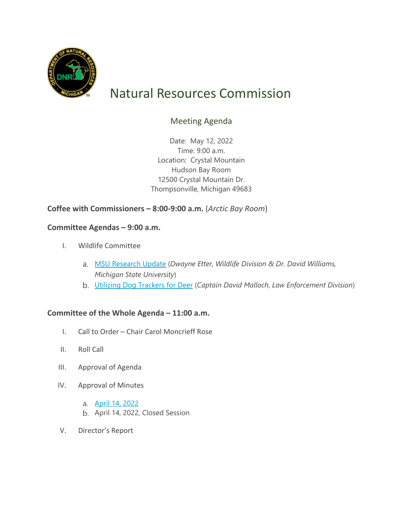

# Natural Resources Commission

## Meeting Agenda

Date: May 12, 2022 Time: 9:00 a.m. Location: Crystal Mountain Hudson Bay Room 12500 Crystal Mountain Dr. Thompsonville, Michigan 49683

## **Coffee with Commissioners – 8:00-9:00 a.m.** (*Arctic Bay Room*)

## **Committee Agendas – 9:00 a.m.**

- I. Wildlife Committee
	- [MSU Research Update](https://www.michigan.gov/dnr/-/media/Project/Websites/dnr/Documents/Boards/NRC/2022/May-2022/Research_Presentations.pdf) (*Dwayne Etter, Wildlife Division & Dr. David Williams, Michigan State University*)
	- [Utilizing Dog Trackers for Deer](https://www.michigan.gov/dnr/-/media/Project/Websites/dnr/Documents/Boards/NRC/2022/May-2022/Malloch_Tracking.pdf) (*Captain David Malloch*, *Law Enforcement Division*)

### **Committee of the Whole Agenda – 11:00 a.m.**

- I. Call to Order Chair Carol Moncrieff Rose
- II. Roll Call
- III. Approval of Agenda
- IV. Approval of Minutes
	- [April 14, 2022](https://cms.michigan.gov/dnr/-/media/Project/Websites/dnr/Documents/Boards/NRC/2022/May-2022/April_Draft_Minutes_Final.pdf)
	- b. April 14, 2022, Closed Session
- V. Director's Report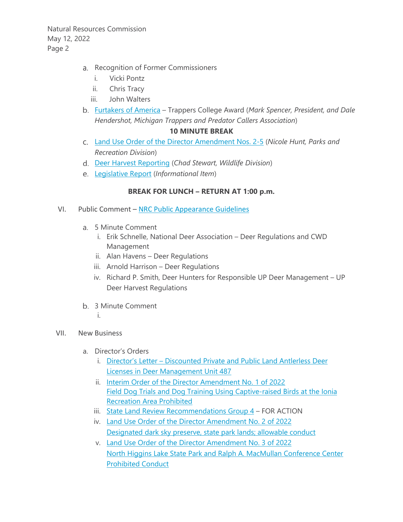Natural Resources Commission May 12, 2022 Page 2

- a. Recognition of Former Commissioners
	- i. Vicki Pontz
	- ii. Chris Tracy
	- iii. John Walters
- [Furtakers of America](https://gcc02.safelinks.protection.outlook.com/?url=https%3A%2F%2Fwww.furtakersofamerica.com%2Fcollege.html&data=04%7C01%7CParmaleeB1%40michigan.gov%7Cd320433ce19145c232ca08da1ee423f1%7Cd5fb7087377742ad966a892ef47225d1%7C0%7C0%7C637856262440434623%7CUnknown%7CTWFpbGZsb3d8eyJWIjoiMC4wLjAwMDAiLCJQIjoiV2luMzIiLCJBTiI6Ik1haWwiLCJXVCI6Mn0%3D%7C3000&sdata=WKiwvn5aIQTxBQjpOXdIR09mypN3bf9TXHz8sBFX8x8%3D&reserved=0) Trappers College Award (*Mark Spencer, President, and Dale Hendershot, Michigan Trappers and Predator Callers Association*)

#### **10 MINUTE BREAK**

- [Land Use Order of the Director Amendment Nos. 2-5](https://www.michigan.gov/dnr/-/media/Project/Websites/dnr/Documents/Boards/NRC/2022/May-2022/LUOD_May_2022.pdf) (*Nicole Hunt, Parks and Recreation Division*)
- [Deer Harvest Reporting](https://www.michigan.gov/dnr/-/media/Project/Websites/dnr/Documents/Boards/NRC/2022/May-2022/Stewart_Deer_Harvest.pdf) (*Chad Stewart, Wildlife Division*)
- [Legislative Report](https://www.michigan.gov/dnr/-/media/Project/Websites/dnr/Documents/Boards/NRC/2022/May-2022/5_LegReport_2022.pdf) (*Informational Item*)

#### **BREAK FOR LUNCH – RETURN AT 1:00 p.m.**

- VI. Public Comment [NRC Public Appearance Guidelines](http://www.michigan.gov/documents/dnr/Public_Appearance_Guidelines_6.19.19_669545_7.pdf)
	- 5 Minute Comment
		- i. Erik Schnelle, National Deer Association Deer Regulations and CWD Management
		- ii. Alan Havens Deer Regulations
		- iii. Arnold Harrison Deer Regulations
		- iv. Richard P. Smith, Deer Hunters for Responsible UP Deer Management UP Deer Harvest Regulations
	- 3 Minute Comment
		- i.
- VII. New Business
	- a. Director's Orders
		- i. Director's Letter [Discounted Private and Public Land Antlerless Deer](https://www.michigan.gov/dnr/-/media/Project/Websites/dnr/Documents/Boards/NRC/2022/May-2022/Approved_Directors_Letter_Discount_487.pdf)  [Licenses in Deer Management Unit 487](https://www.michigan.gov/dnr/-/media/Project/Websites/dnr/Documents/Boards/NRC/2022/May-2022/Approved_Directors_Letter_Discount_487.pdf)
		- ii. [Interim Order of the Director Amendment No. 1 of 2022](https://www.michigan.gov/dnr/-/media/Project/Websites/dnr/Documents/Boards/NRC/2022/May-2022/Approved_01IO2022.pdf) [Field Dog Trials and Dog Training Using Captive-raised Birds at the Ionia](https://www.michigan.gov/dnr/-/media/Project/Websites/dnr/Documents/Boards/NRC/2022/May-2022/Approved_01IO2022.pdf)  [Recreation Area Prohibited](https://www.michigan.gov/dnr/-/media/Project/Websites/dnr/Documents/Boards/NRC/2022/May-2022/Approved_01IO2022.pdf)
		- iii. [State Land Review Recommendations Group 4](https://www.michigan.gov/dnr/-/media/Project/Websites/dnr/Documents/Boards/NRC/2022/May-2022/Signed_Group_4.pdf) FOR ACTION
		- iv. [Land Use Order of the Director Amendment No. 2 of 2022](https://www.michigan.gov/dnr/-/media/Project/Websites/dnr/Documents/Boards/NRC/2022/May-2022/Signed_LUOD_2_of_2022.pdf) [Designated dark sky preserve, state park lands; allowable conduct](https://www.michigan.gov/dnr/-/media/Project/Websites/dnr/Documents/Boards/NRC/2022/May-2022/Signed_LUOD_2_of_2022.pdf)
		- v. [Land Use Order of the Director Amendment No. 3 of 2022](https://www.michigan.gov/dnr/-/media/Project/Websites/dnr/Documents/Boards/NRC/2022/May-2022/Signed_LUOD_3_of_2022.pdf) [North Higgins Lake State Park and Ralph A. MacMullan Conference Center](https://www.michigan.gov/dnr/-/media/Project/Websites/dnr/Documents/Boards/NRC/2022/May-2022/Signed_LUOD_3_of_2022.pdf)  [Prohibited Conduct](https://www.michigan.gov/dnr/-/media/Project/Websites/dnr/Documents/Boards/NRC/2022/May-2022/Signed_LUOD_3_of_2022.pdf)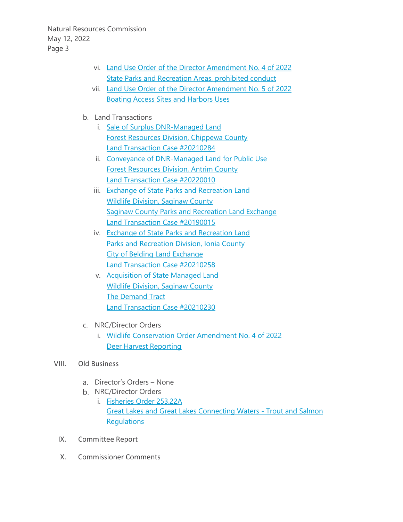Natural Resources Commission May 12, 2022 Page 3

- vi. [Land Use Order of the Director Amendment No. 4 of 2022](https://www.michigan.gov/dnr/-/media/Project/Websites/dnr/Documents/Boards/NRC/2022/May-2022/Signed_LUOD_4_of_2022.pdf) [State Parks and Recreation Areas, prohibited conduct](https://www.michigan.gov/dnr/-/media/Project/Websites/dnr/Documents/Boards/NRC/2022/May-2022/Signed_LUOD_4_of_2022.pdf)
- vii. [Land Use Order of the Director Amendment No.](https://www.michigan.gov/dnr/-/media/Project/Websites/dnr/Documents/Boards/NRC/2022/May-2022/Signed_LUOD_5_of_2022.pdf) 5 of 2022 [Boating Access Sites and Harbors Uses](https://www.michigan.gov/dnr/-/media/Project/Websites/dnr/Documents/Boards/NRC/2022/May-2022/Signed_LUOD_5_of_2022.pdf)
- b. Land Transactions
	- i. [Sale of Surplus DNR-Managed Land](https://www.michigan.gov/dnr/-/media/Project/Websites/dnr/Documents/Boards/NRC/2022/May-2022/Signed_20210284.pdf) Forest Resources [Division, Chippewa](https://www.michigan.gov/dnr/-/media/Project/Websites/dnr/Documents/Boards/NRC/2022/May-2022/Signed_20210284.pdf) County [Land Transaction Case #20210284](https://www.michigan.gov/dnr/-/media/Project/Websites/dnr/Documents/Boards/NRC/2022/May-2022/Signed_20210284.pdf)
	- ii. [Conveyance of DNR-Managed Land for Public Use](https://www.michigan.gov/dnr/-/media/Project/Websites/dnr/Documents/Boards/NRC/2022/May-2022/Signed_20220010.pdf) [Forest Resources](https://www.michigan.gov/dnr/-/media/Project/Websites/dnr/Documents/Boards/NRC/2022/May-2022/Signed_20220010.pdf) Division, Antrim County [Land Transaction Case #20220010](https://www.michigan.gov/dnr/-/media/Project/Websites/dnr/Documents/Boards/NRC/2022/May-2022/Signed_20220010.pdf)
	- iii. [Exchange of State Parks and Recreation Land](https://www.michigan.gov/dnr/-/media/Project/Websites/dnr/Documents/Boards/NRC/2022/May-2022/Signed_20190015.pdf) Wildlife [Division, Saginaw County](https://www.michigan.gov/dnr/-/media/Project/Websites/dnr/Documents/Boards/NRC/2022/May-2022/Signed_20190015.pdf) [Saginaw County Parks and Recreation Land Exchange](https://www.michigan.gov/dnr/-/media/Project/Websites/dnr/Documents/Boards/NRC/2022/May-2022/Signed_20190015.pdf) [Land Transaction Case #20190015](https://www.michigan.gov/dnr/-/media/Project/Websites/dnr/Documents/Boards/NRC/2022/May-2022/Signed_20190015.pdf)
	- iv. [Exchange of State Parks and Recreation Land](https://www.michigan.gov/dnr/-/media/Project/Websites/dnr/Documents/Boards/NRC/2022/May-2022/Signed_20210258.pdf) [Parks and Recreation Division, Ionia County](https://www.michigan.gov/dnr/-/media/Project/Websites/dnr/Documents/Boards/NRC/2022/May-2022/Signed_20210258.pdf) [City of Belding Land Exchange](https://www.michigan.gov/dnr/-/media/Project/Websites/dnr/Documents/Boards/NRC/2022/May-2022/Signed_20210258.pdf) [Land Transaction Case #20210258](https://www.michigan.gov/dnr/-/media/Project/Websites/dnr/Documents/Boards/NRC/2022/May-2022/Signed_20210258.pdf)
	- v. [Acquisition of State Managed Land](https://www.michigan.gov/dnr/-/media/Project/Websites/dnr/Documents/Boards/NRC/2022/May-2022/Signed_20210230.pdf) [Wildlife Division, Saginaw](https://www.michigan.gov/dnr/-/media/Project/Websites/dnr/Documents/Boards/NRC/2022/May-2022/Signed_20210230.pdf) County [The Demand](https://www.michigan.gov/dnr/-/media/Project/Websites/dnr/Documents/Boards/NRC/2022/May-2022/Signed_20210230.pdf) Tract [Land Transaction Case #20210230](https://www.michigan.gov/dnr/-/media/Project/Websites/dnr/Documents/Boards/NRC/2022/May-2022/Signed_20210230.pdf)
- c. NRC/Director Orders
	- i. [Wildlife Conservation Order Amendment No. 4 of 2022](https://www.michigan.gov/dnr/-/media/Project/Websites/dnr/Documents/Boards/NRC/2022/May-2022/Signed_04WCO2022.pdf) [Deer Harvest Reporting](https://www.michigan.gov/dnr/-/media/Project/Websites/dnr/Documents/Boards/NRC/2022/May-2022/Signed_04WCO2022.pdf)
- VIII. Old Business
	- Director's Orders None
	- b. NRC/Director Orders
		- i. [Fisheries Order 253.22A](https://www.michigan.gov/dnr/-/media/Project/Websites/dnr/Documents/Boards/NRC/2022/May-2022/Signed_FO_25322A.pdf) [Great Lakes and Great Lakes Connecting Waters -](https://www.michigan.gov/dnr/-/media/Project/Websites/dnr/Documents/Boards/NRC/2022/May-2022/Signed_FO_25322A.pdf) Trout and Salmon **[Regulations](https://www.michigan.gov/dnr/-/media/Project/Websites/dnr/Documents/Boards/NRC/2022/May-2022/Signed_FO_25322A.pdf)**
	- IX. Committee Report
	- X. Commissioner Comments